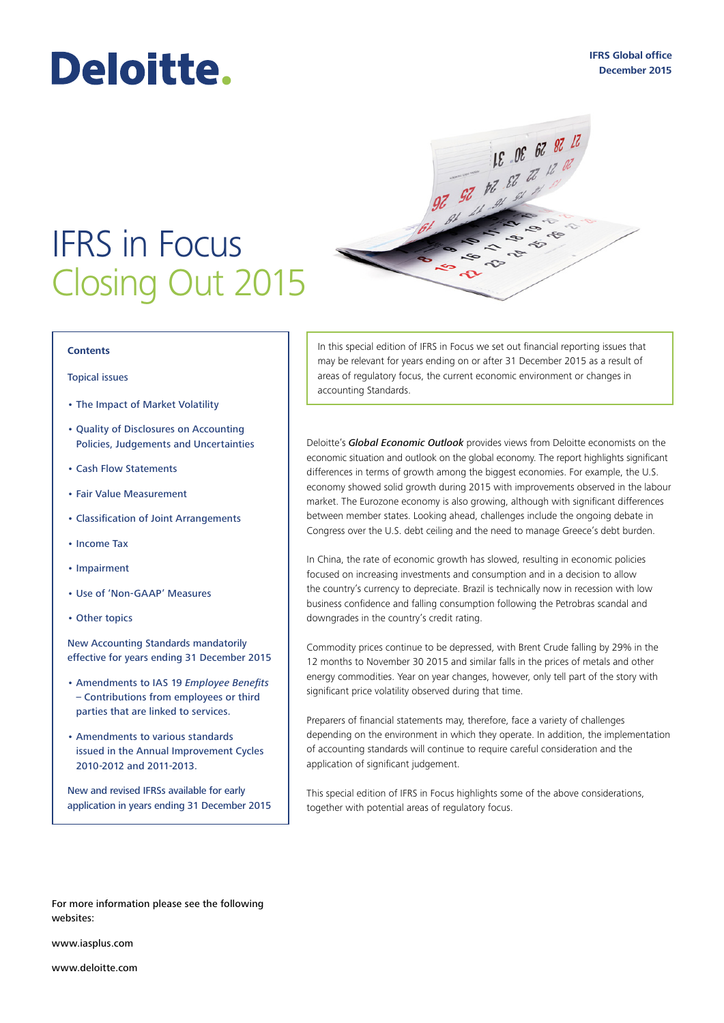# Deloitte.

## IFRS in Focus Closing Out 2015

#### **Contents**

#### [Topical issues](#page-1-0)

- [The Impact of Market Volatility](#page-1-0)
- [Quality of Disclosures on Accounting](#page-2-0)  [Policies, Judgements and Uncertainties](#page-2-0)
- [Cash Flow Statements](#page-3-0)
- [Fair Value Measurement](#page-4-0)
- [Classification of Joint Arrangements](#page-5-0)
- [Income Tax](#page-5-1)
- [Impairment](#page-6-0)
- [Use of 'Non‑GAAP' Measures](#page-7-0)
- [Other topics](#page-8-0)

New Accounting Standards mandatorily effective for years ending 31 December 2015

- Amendments to IAS 19 *Employee Benefits*  – Contributions from employees or third parties that are linked to services.
- Amendments to various standards issued in the Annual Improvement Cycles 2010‑2012 and 2011‑2013.

New and revised IFRSs available for early application in years ending 31 December 2015

In this special edition of IFRS in Focus we set out financial reporting issues that may be relevant for years ending on or after 31 December 2015 as a result of areas of regulatory focus, the current economic environment or changes in accounting Standards.

 $\mathbf{\hat{v}}$ 

 $12^{15}$  30 30 31

 $\approx$  $\dot{\gamma}$ 

20 28 30 31 22

Deloitte's *[Global Economic Outlook](https://www.km.deloitteresources.com/sites/live/crossfunctional/KAM%20Documents/United%20States%20Internal%20Services/KMIP-2834543/GEO_Q4_11.2.15_vFINAL.pdf)* provides views from Deloitte economists on the economic situation and outlook on the global economy. The report highlights significant differences in terms of growth among the biggest economies. For example, the U.S. economy showed solid growth during 2015 with improvements observed in the labour market. The Eurozone economy is also growing, although with significant differences between member states. Looking ahead, challenges include the ongoing debate in Congress over the U.S. debt ceiling and the need to manage Greece's debt burden.

In China, the rate of economic growth has slowed, resulting in economic policies focused on increasing investments and consumption and in a decision to allow the country's currency to depreciate. Brazil is technically now in recession with low business confidence and falling consumption following the Petrobras scandal and downgrades in the country's credit rating.

Commodity prices continue to be depressed, with Brent Crude falling by 29% in the 12 months to November 30 2015 and similar falls in the prices of metals and other energy commodities. Year on year changes, however, only tell part of the story with significant price volatility observed during that time.

Preparers of financial statements may, therefore, face a variety of challenges depending on the environment in which they operate. In addition, the implementation of accounting standards will continue to require careful consideration and the application of significant judgement.

This special edition of IFRS in Focus highlights some of the above considerations, together with potential areas of regulatory focus.

For more information please see the following websites:

www.iasplus.com

www.deloitte.com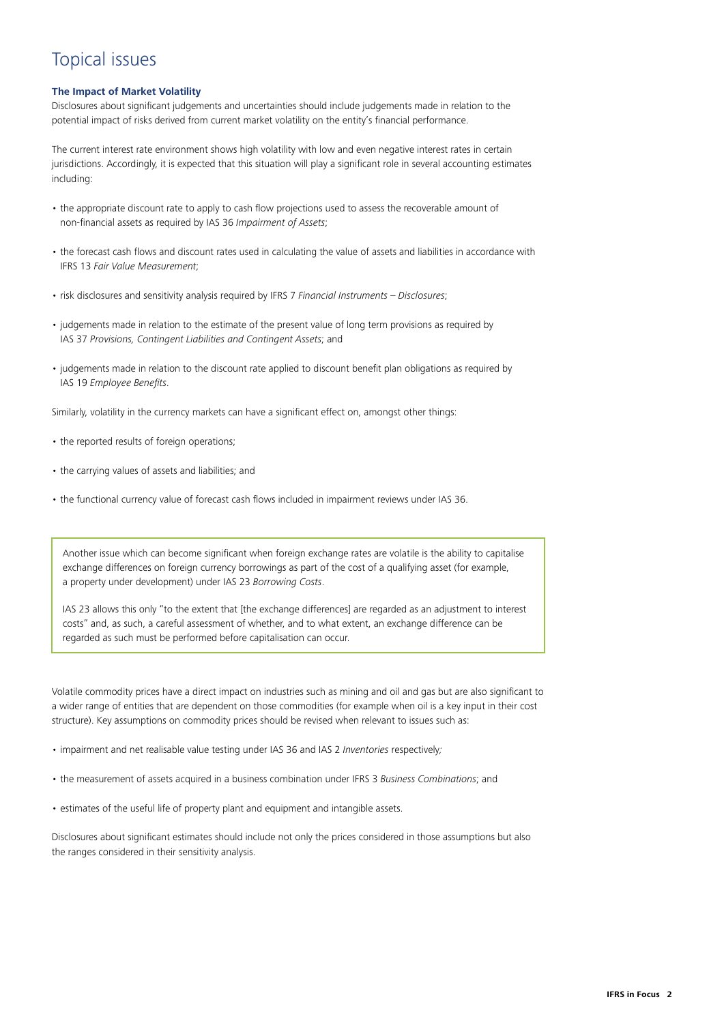## <span id="page-1-0"></span>Topical issues

#### **The Impact of Market Volatility**

Disclosures about significant judgements and uncertainties should include judgements made in relation to the potential impact of risks derived from current market volatility on the entity's financial performance.

The current interest rate environment shows high volatility with low and even negative interest rates in certain jurisdictions. Accordingly, it is expected that this situation will play a significant role in several accounting estimates including:

- the appropriate discount rate to apply to cash flow projections used to assess the recoverable amount of non‑financial assets as required by IAS 36 *Impairment of Assets*;
- the forecast cash flows and discount rates used in calculating the value of assets and liabilities in accordance with IFRS 13 *Fair Value Measurement*;
- risk disclosures and sensitivity analysis required by IFRS 7 *Financial Instruments Disclosures*;
- judgements made in relation to the estimate of the present value of long term provisions as required by IAS 37 *Provisions, Contingent Liabilities and Contingent Assets*; and
- judgements made in relation to the discount rate applied to discount benefit plan obligations as required by IAS 19 *Employee Benefits*.

Similarly, volatility in the currency markets can have a significant effect on, amongst other things:

- the reported results of foreign operations;
- the carrying values of assets and liabilities; and
- the functional currency value of forecast cash flows included in impairment reviews under IAS 36.

Another issue which can become significant when foreign exchange rates are volatile is the ability to capitalise exchange differences on foreign currency borrowings as part of the cost of a qualifying asset (for example, a property under development) under IAS 23 *Borrowing Costs*.

IAS 23 allows this only "to the extent that [the exchange differences] are regarded as an adjustment to interest costs" and, as such, a careful assessment of whether, and to what extent, an exchange difference can be regarded as such must be performed before capitalisation can occur.

Volatile commodity prices have a direct impact on industries such as mining and oil and gas but are also significant to a wider range of entities that are dependent on those commodities (for example when oil is a key input in their cost structure). Key assumptions on commodity prices should be revised when relevant to issues such as:

- impairment and net realisable value testing under IAS 36 and IAS 2 *Inventories* respectively*;*
- the measurement of assets acquired in a business combination under IFRS 3 *Business Combinations*; and
- estimates of the useful life of property plant and equipment and intangible assets.

Disclosures about significant estimates should include not only the prices considered in those assumptions but also the ranges considered in their sensitivity analysis.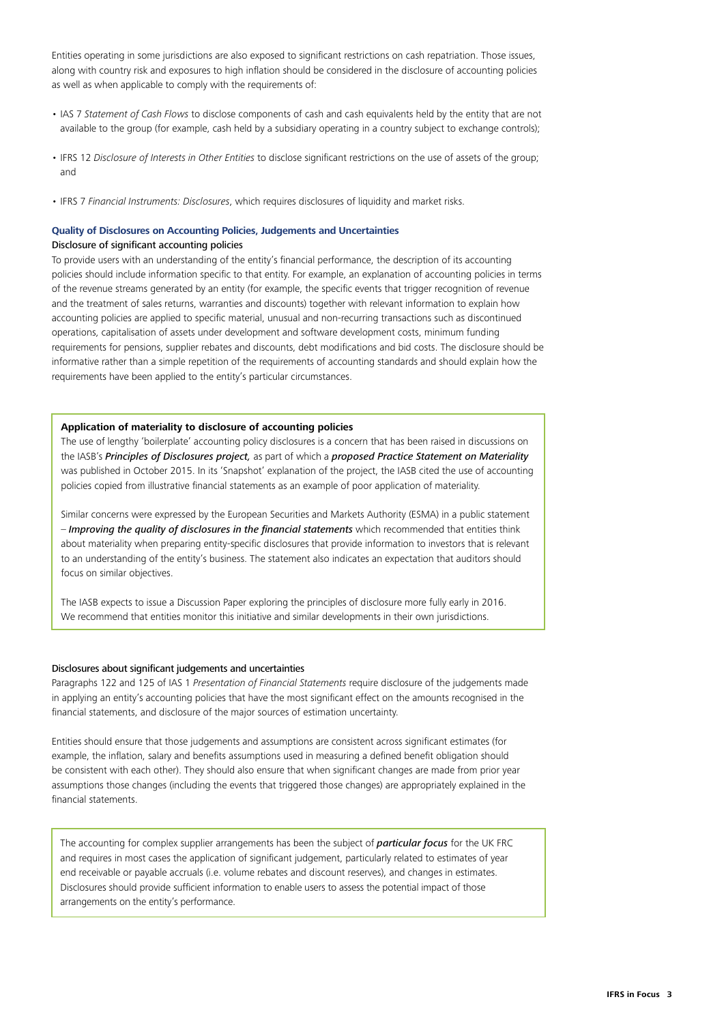Entities operating in some jurisdictions are also exposed to significant restrictions on cash repatriation. Those issues, along with country risk and exposures to high inflation should be considered in the disclosure of accounting policies as well as when applicable to comply with the requirements of:

- IAS 7 *Statement of Cash Flows* to disclose components of cash and cash equivalents held by the entity that are not available to the group (for example, cash held by a subsidiary operating in a country subject to exchange controls);
- IFRS 12 *Disclosure of Interests in Other Entities* to disclose significant restrictions on the use of assets of the group; and
- IFRS 7 *Financial Instruments: Disclosures*, which requires disclosures of liquidity and market risks.

#### <span id="page-2-0"></span>**Quality of Disclosures on Accounting Policies, Judgements and Uncertainties**

#### Disclosure of significant accounting policies

To provide users with an understanding of the entity's financial performance, the description of its accounting policies should include information specific to that entity. For example, an explanation of accounting policies in terms of the revenue streams generated by an entity (for example, the specific events that trigger recognition of revenue and the treatment of sales returns, warranties and discounts) together with relevant information to explain how accounting policies are applied to specific material, unusual and non-recurring transactions such as discontinued operations, capitalisation of assets under development and software development costs, minimum funding requirements for pensions, supplier rebates and discounts, debt modifications and bid costs. The disclosure should be informative rather than a simple repetition of the requirements of accounting standards and should explain how the requirements have been applied to the entity's particular circumstances.

#### **Application of materiality to disclosure of accounting policies**

The use of lengthy 'boilerplate' accounting policy disclosures is a concern that has been raised in discussions on the IASB's *[Principles of Disclosures project,](http://www.iasplus.com/en/projects/major/principles-of-disclosure)* as part of which a *[proposed Practice Statement on Materiality](http://www.iasplus.com/en/news/2015/10/materiality)* was published in October 2015. In its 'Snapshot' explanation of the project, the IASB cited the use of accounting policies copied from illustrative financial statements as an example of poor application of materiality.

Similar concerns were expressed by the European Securities and Markets Authority (ESMA) in a public statement – *[Improving the quality of disclosures in the financial statements](http://www.esma.europa.eu/system/files/2015-esma-1609_esma_public_statement_-_improving_disclosures.pdf)* which recommended that entities think about materiality when preparing entity-specific disclosures that provide information to investors that is relevant to an understanding of the entity's business. The statement also indicates an expectation that auditors should focus on similar objectives.

The IASB expects to issue a Discussion Paper exploring the principles of disclosure more fully early in 2016. We recommend that entities monitor this initiative and similar developments in their own jurisdictions.

#### Disclosures about significant judgements and uncertainties

Paragraphs 122 and 125 of IAS 1 *Presentation of Financial Statements* require disclosure of the judgements made in applying an entity's accounting policies that have the most significant effect on the amounts recognised in the financial statements, and disclosure of the major sources of estimation uncertainty.

Entities should ensure that those judgements and assumptions are consistent across significant estimates (for example, the inflation, salary and benefits assumptions used in measuring a defined benefit obligation should be consistent with each other). They should also ensure that when significant changes are made from prior year assumptions those changes (including the events that triggered those changes) are appropriately explained in the financial statements.

The accounting for complex supplier arrangements has been the subject of *[particular focus](https://www.frc.org.uk/News-and-Events/FRC-Press/Press/2014/December/FRC-urges-clarity-in-the-reporting-of-complex-supp.aspx)* for the UK FRC and requires in most cases the application of significant judgement, particularly related to estimates of year end receivable or payable accruals (i.e. volume rebates and discount reserves), and changes in estimates. Disclosures should provide sufficient information to enable users to assess the potential impact of those arrangements on the entity's performance.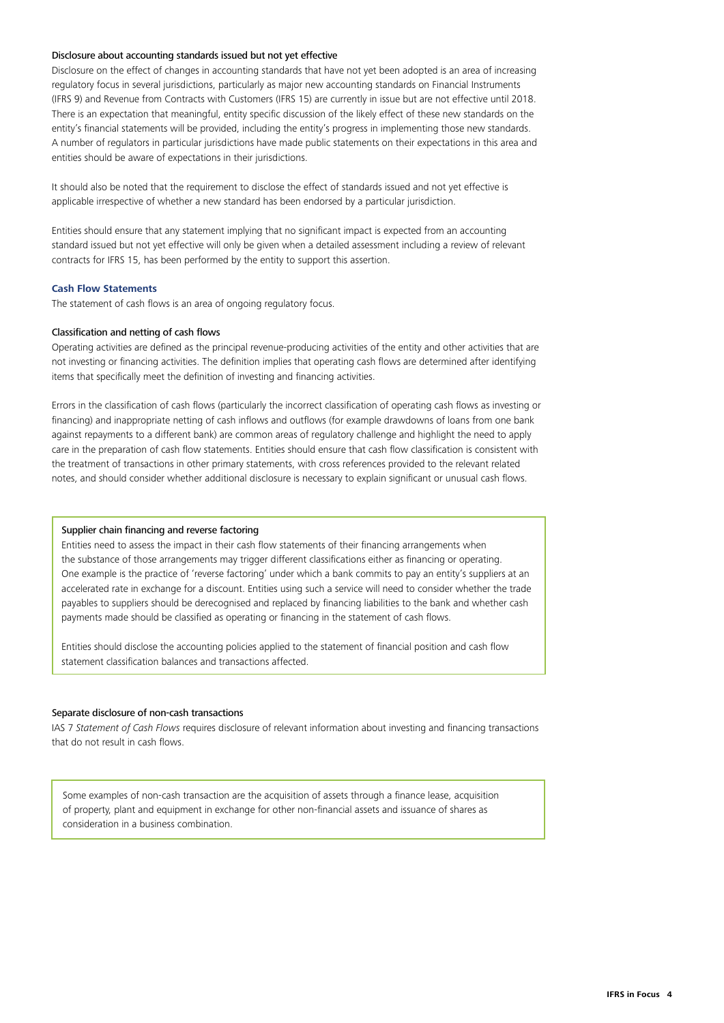#### Disclosure about accounting standards issued but not yet effective

Disclosure on the effect of changes in accounting standards that have not yet been adopted is an area of increasing regulatory focus in several jurisdictions, particularly as major new accounting standards on Financial Instruments (IFRS 9) and Revenue from Contracts with Customers (IFRS 15) are currently in issue but are not effective until 2018. There is an expectation that meaningful, entity specific discussion of the likely effect of these new standards on the entity's financial statements will be provided, including the entity's progress in implementing those new standards. A number of regulators in particular jurisdictions have made public statements on their expectations in this area and entities should be aware of expectations in their jurisdictions.

It should also be noted that the requirement to disclose the effect of standards issued and not yet effective is applicable irrespective of whether a new standard has been endorsed by a particular jurisdiction.

Entities should ensure that any statement implying that no significant impact is expected from an accounting standard issued but not yet effective will only be given when a detailed assessment including a review of relevant contracts for IFRS 15, has been performed by the entity to support this assertion.

#### <span id="page-3-0"></span>**Cash Flow Statements**

The statement of cash flows is an area of ongoing regulatory focus.

#### Classification and netting of cash flows

Operating activities are defined as the principal revenue‑producing activities of the entity and other activities that are not investing or financing activities. The definition implies that operating cash flows are determined after identifying items that specifically meet the definition of investing and financing activities.

Errors in the classification of cash flows (particularly the incorrect classification of operating cash flows as investing or financing) and inappropriate netting of cash inflows and outflows (for example drawdowns of loans from one bank against repayments to a different bank) are common areas of regulatory challenge and highlight the need to apply care in the preparation of cash flow statements. Entities should ensure that cash flow classification is consistent with the treatment of transactions in other primary statements, with cross references provided to the relevant related notes, and should consider whether additional disclosure is necessary to explain significant or unusual cash flows.

#### Supplier chain financing and reverse factoring

Entities need to assess the impact in their cash flow statements of their financing arrangements when the substance of those arrangements may trigger different classifications either as financing or operating. One example is the practice of 'reverse factoring' under which a bank commits to pay an entity's suppliers at an accelerated rate in exchange for a discount. Entities using such a service will need to consider whether the trade payables to suppliers should be derecognised and replaced by financing liabilities to the bank and whether cash payments made should be classified as operating or financing in the statement of cash flows.

Entities should disclose the accounting policies applied to the statement of financial position and cash flow statement classification balances and transactions affected.

#### Separate disclosure of non‑cash transactions

IAS 7 *Statement of Cash Flows* requires disclosure of relevant information about investing and financing transactions that do not result in cash flows.

Some examples of non‑cash transaction are the acquisition of assets through a finance lease, acquisition of property, plant and equipment in exchange for other non‑financial assets and issuance of shares as consideration in a business combination.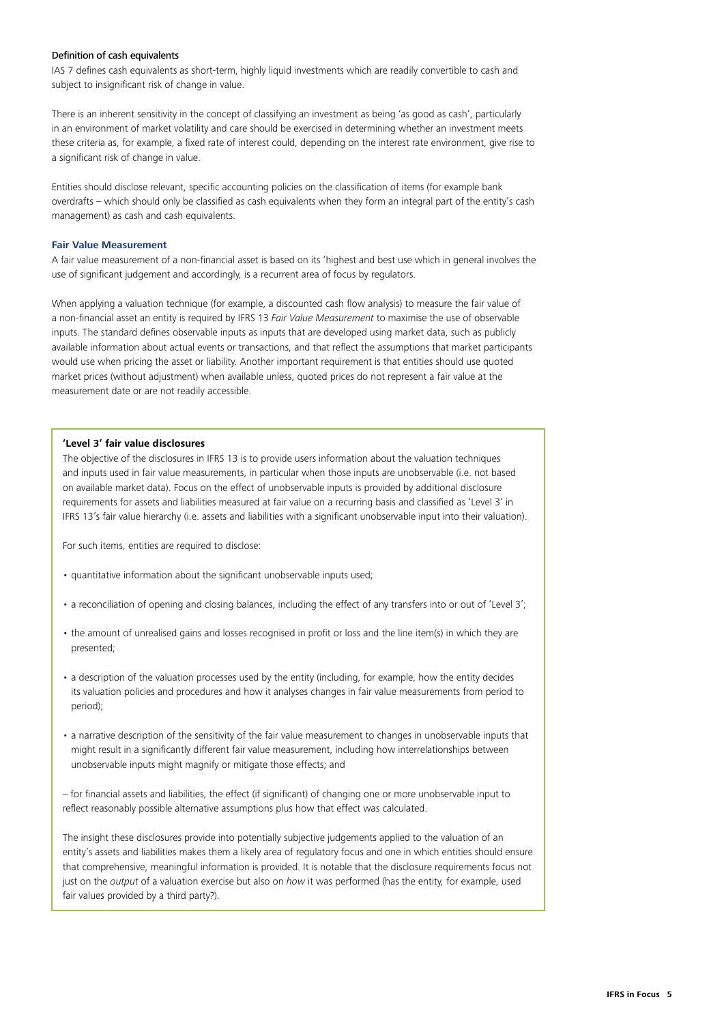#### Definition of cash equivalents

IAS 7 defines cash equivalents as short-term, highly liquid investments which are readily convertible to cash and subject to insignificant risk of change in value.

There is an inherent sensitivity in the concept of classifying an investment as being 'as good as cash', particularly in an environment of market volatility and care should be exercised in determining whether an investment meets these criteria as, for example, a fixed rate of interest could, depending on the interest rate environment, give rise to a significant risk of change in value.

Entities should disclose relevant, specific accounting policies on the classification of items (for example bank overdrafts – which should only be classified as cash equivalents when they form an integral part of the entity's cash management) as cash and cash equivalents.

#### <span id="page-4-0"></span>**Fair Value Measurement**

A fair value measurement of a non‑financial asset is based on its 'highest and best use which in general involves the use of significant judgement and accordingly, is a recurrent area of focus by regulators.

When applying a valuation technique (for example, a discounted cash flow analysis) to measure the fair value of a non‑financial asset an entity is required by IFRS 13 *Fair Value Measurement* to maximise the use of observable inputs. The standard defines observable inputs as inputs that are developed using market data, such as publicly available information about actual events or transactions, and that reflect the assumptions that market participants would use when pricing the asset or liability. Another important requirement is that entities should use quoted market prices (without adjustment) when available unless, quoted prices do not represent a fair value at the measurement date or are not readily accessible.

#### **'Level 3' fair value disclosures**

The objective of the disclosures in IFRS 13 is to provide users information about the valuation techniques and inputs used in fair value measurements, in particular when those inputs are unobservable (i.e. not based on available market data). Focus on the effect of unobservable inputs is provided by additional disclosure requirements for assets and liabilities measured at fair value on a recurring basis and classified as 'Level 3' in IFRS 13's fair value hierarchy (i.e. assets and liabilities with a significant unobservable input into their valuation).

For such items, entities are required to disclose:

- quantitative information about the significant unobservable inputs used;
- a reconciliation of opening and closing balances, including the effect of any transfers into or out of 'Level 3';
- the amount of unrealised gains and losses recognised in profit or loss and the line item(s) in which they are presented;
- a description of the valuation processes used by the entity (including, for example, how the entity decides its valuation policies and procedures and how it analyses changes in fair value measurements from period to period);
- a narrative description of the sensitivity of the fair value measurement to changes in unobservable inputs that might result in a significantly different fair value measurement, including how interrelationships between unobservable inputs might magnify or mitigate those effects; and

– for financial assets and liabilities, the effect (if significant) of changing one or more unobservable input to reflect reasonably possible alternative assumptions plus how that effect was calculated.

The insight these disclosures provide into potentially subjective judgements applied to the valuation of an entity's assets and liabilities makes them a likely area of regulatory focus and one in which entities should ensure that comprehensive, meaningful information is provided. It is notable that the disclosure requirements focus not just on the *output* of a valuation exercise but also on *how* it was performed (has the entity, for example, used fair values provided by a third party?).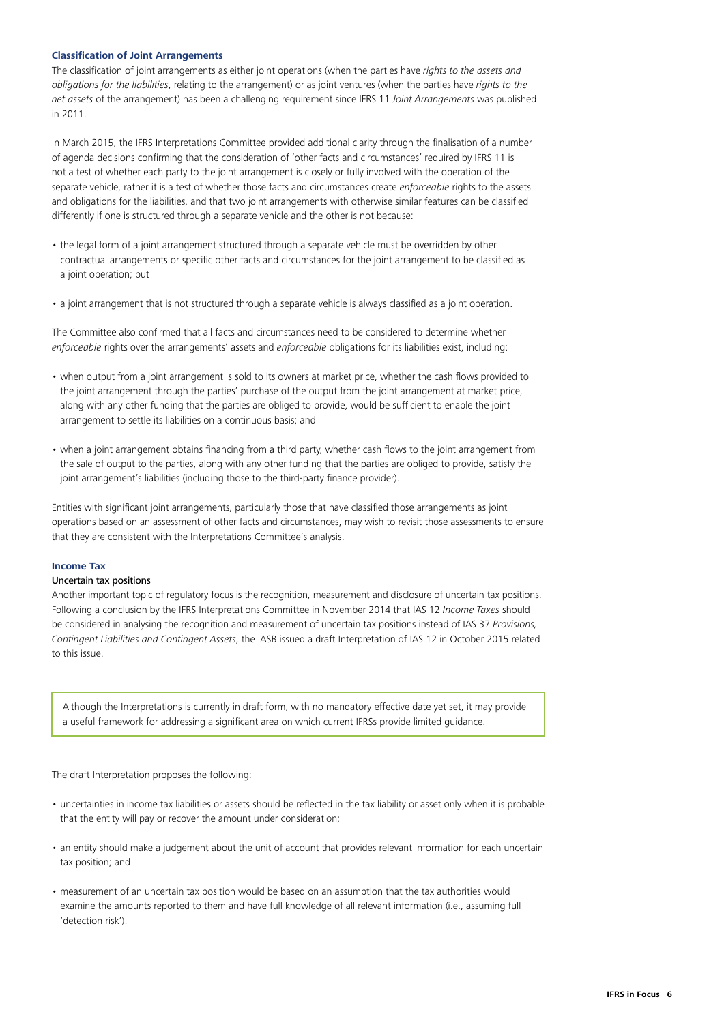#### <span id="page-5-0"></span>**Classification of Joint Arrangements**

The classification of joint arrangements as either joint operations (when the parties have *rights to the assets and obligations for the liabilities*, relating to the arrangement) or as joint ventures (when the parties have *rights to the net assets* of the arrangement) has been a challenging requirement since IFRS 11 *Joint Arrangements* was published in 2011.

In March 2015, the IFRS Interpretations Committee provided additional clarity through the finalisation of a number of agenda decisions confirming that the consideration of 'other facts and circumstances' required by IFRS 11 is not a test of whether each party to the joint arrangement is closely or fully involved with the operation of the separate vehicle, rather it is a test of whether those facts and circumstances create *enforceable* rights to the assets and obligations for the liabilities, and that two joint arrangements with otherwise similar features can be classified differently if one is structured through a separate vehicle and the other is not because:

- the legal form of a joint arrangement structured through a separate vehicle must be overridden by other contractual arrangements or specific other facts and circumstances for the joint arrangement to be classified as a joint operation; but
- a joint arrangement that is not structured through a separate vehicle is always classified as a joint operation.

The Committee also confirmed that all facts and circumstances need to be considered to determine whether *enforceable* rights over the arrangements' assets and *enforceable* obligations for its liabilities exist, including:

- when output from a joint arrangement is sold to its owners at market price, whether the cash flows provided to the joint arrangement through the parties' purchase of the output from the joint arrangement at market price, along with any other funding that the parties are obliged to provide, would be sufficient to enable the joint arrangement to settle its liabilities on a continuous basis; and
- when a joint arrangement obtains financing from a third party, whether cash flows to the joint arrangement from the sale of output to the parties, along with any other funding that the parties are obliged to provide, satisfy the joint arrangement's liabilities (including those to the third-party finance provider).

Entities with significant joint arrangements, particularly those that have classified those arrangements as joint operations based on an assessment of other facts and circumstances, may wish to revisit those assessments to ensure that they are consistent with the Interpretations Committee's analysis.

#### <span id="page-5-1"></span>**Income Tax**

#### Uncertain tax positions

Another important topic of regulatory focus is the recognition, measurement and disclosure of uncertain tax positions. Following a conclusion by the IFRS Interpretations Committee in November 2014 that IAS 12 *Income Taxes* should be considered in analysing the recognition and measurement of uncertain tax positions instead of IAS 37 *Provisions, Contingent Liabilities and Contingent Assets*, the IASB issued a draft Interpretation of IAS 12 in October 2015 related to this issue.

Although the Interpretations is currently in draft form, with no mandatory effective date yet set, it may provide a useful framework for addressing a significant area on which current IFRSs provide limited guidance.

The draft Interpretation proposes the following:

- uncertainties in income tax liabilities or assets should be reflected in the tax liability or asset only when it is probable that the entity will pay or recover the amount under consideration;
- an entity should make a judgement about the unit of account that provides relevant information for each uncertain tax position; and
- measurement of an uncertain tax position would be based on an assumption that the tax authorities would examine the amounts reported to them and have full knowledge of all relevant information (i.e., assuming full 'detection risk').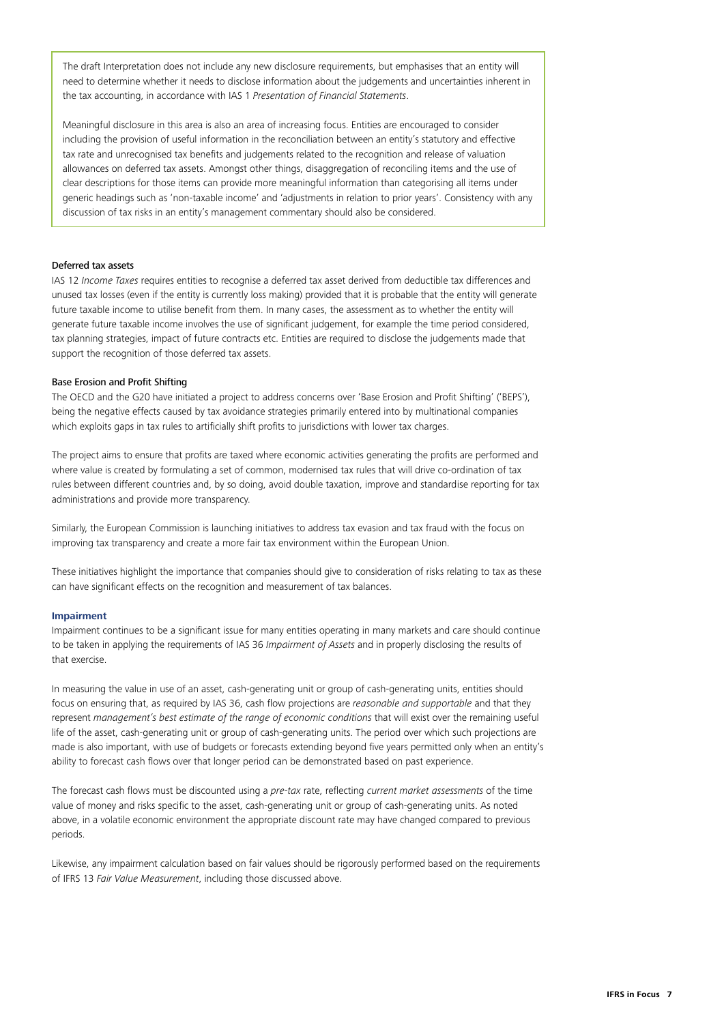The draft Interpretation does not include any new disclosure requirements, but emphasises that an entity will need to determine whether it needs to disclose information about the judgements and uncertainties inherent in the tax accounting, in accordance with IAS 1 *Presentation of Financial Statements*.

Meaningful disclosure in this area is also an area of increasing focus. Entities are encouraged to consider including the provision of useful information in the reconciliation between an entity's statutory and effective tax rate and unrecognised tax benefits and judgements related to the recognition and release of valuation allowances on deferred tax assets. Amongst other things, disaggregation of reconciling items and the use of clear descriptions for those items can provide more meaningful information than categorising all items under generic headings such as 'non-taxable income' and 'adjustments in relation to prior years'. Consistency with any discussion of tax risks in an entity's management commentary should also be considered.

#### Deferred tax assets

IAS 12 *Income Taxes* requires entities to recognise a deferred tax asset derived from deductible tax differences and unused tax losses (even if the entity is currently loss making) provided that it is probable that the entity will generate future taxable income to utilise benefit from them. In many cases, the assessment as to whether the entity will generate future taxable income involves the use of significant judgement, for example the time period considered, tax planning strategies, impact of future contracts etc. Entities are required to disclose the judgements made that support the recognition of those deferred tax assets.

#### Base Erosion and Profit Shifting

The OECD and the G20 have initiated a project to address concerns over 'Base Erosion and Profit Shifting' ('BEPS'), being the negative effects caused by tax avoidance strategies primarily entered into by multinational companies which exploits gaps in tax rules to artificially shift profits to jurisdictions with lower tax charges.

The project aims to ensure that profits are taxed where economic activities generating the profits are performed and where value is created by formulating a set of common, modernised tax rules that will drive co-ordination of tax rules between different countries and, by so doing, avoid double taxation, improve and standardise reporting for tax administrations and provide more transparency.

Similarly, the European Commission is launching initiatives to address tax evasion and tax fraud with the focus on improving tax transparency and create a more fair tax environment within the European Union.

These initiatives highlight the importance that companies should give to consideration of risks relating to tax as these can have significant effects on the recognition and measurement of tax balances.

#### <span id="page-6-0"></span>**Impairment**

Impairment continues to be a significant issue for many entities operating in many markets and care should continue to be taken in applying the requirements of IAS 36 *Impairment of Assets* and in properly disclosing the results of that exercise.

In measuring the value in use of an asset, cash-generating unit or group of cash-generating units, entities should focus on ensuring that, as required by IAS 36, cash flow projections are *reasonable and supportable* and that they represent *management's best estimate of the range of economic conditions* that will exist over the remaining useful life of the asset, cash-generating unit or group of cash-generating units. The period over which such projections are made is also important, with use of budgets or forecasts extending beyond five years permitted only when an entity's ability to forecast cash flows over that longer period can be demonstrated based on past experience.

The forecast cash flows must be discounted using a *pre‑tax* rate, reflecting *current market assessments* of the time value of money and risks specific to the asset, cash-generating unit or group of cash-generating units. As noted above, in a volatile economic environment the appropriate discount rate may have changed compared to previous periods.

Likewise, any impairment calculation based on fair values should be rigorously performed based on the requirements of IFRS 13 *Fair Value Measurement*, including those discussed above.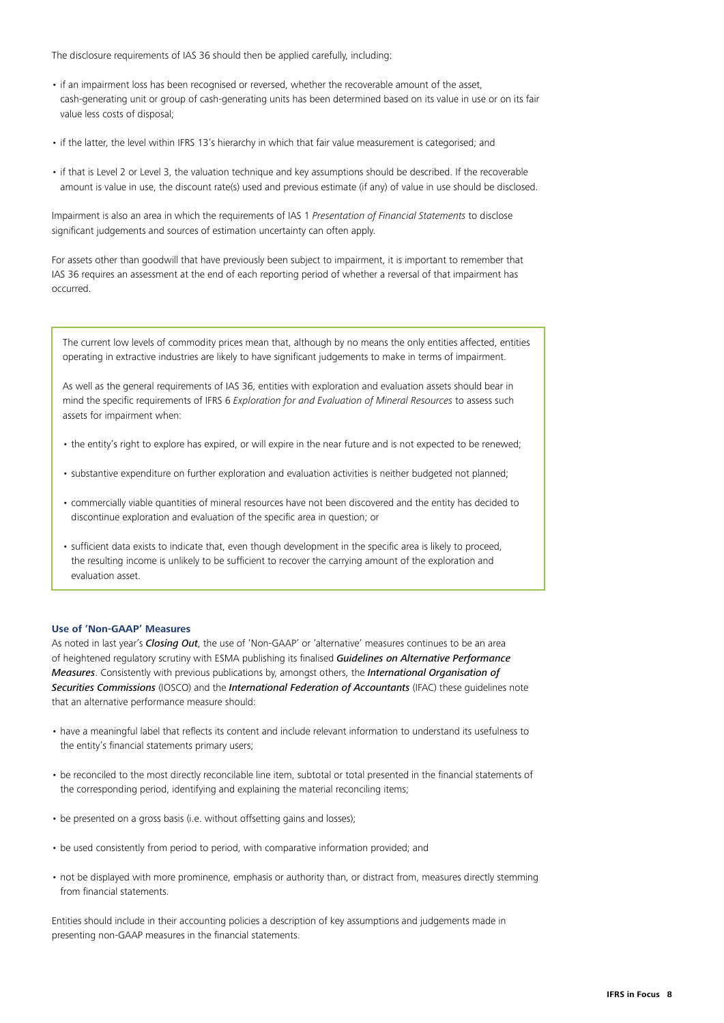The disclosure requirements of IAS 36 should then be applied carefully, including:

- if an impairment loss has been recognised or reversed, whether the recoverable amount of the asset, cash‑generating unit or group of cash‑generating units has been determined based on its value in use or on its fair value less costs of disposal;
- if the latter, the level within IFRS 13's hierarchy in which that fair value measurement is categorised; and
- if that is Level 2 or Level 3, the valuation technique and key assumptions should be described. If the recoverable amount is value in use, the discount rate(s) used and previous estimate (if any) of value in use should be disclosed.

Impairment is also an area in which the requirements of IAS 1 *Presentation of Financial Statements* to disclose significant judgements and sources of estimation uncertainty can often apply.

For assets other than goodwill that have previously been subject to impairment, it is important to remember that IAS 36 requires an assessment at the end of each reporting period of whether a reversal of that impairment has occurred.

The current low levels of commodity prices mean that, although by no means the only entities affected, entities operating in extractive industries are likely to have significant judgements to make in terms of impairment.

As well as the general requirements of IAS 36, entities with exploration and evaluation assets should bear in mind the specific requirements of IFRS 6 *Exploration for and Evaluation of Mineral Resources* to assess such assets for impairment when:

- the entity's right to explore has expired, or will expire in the near future and is not expected to be renewed;
- substantive expenditure on further exploration and evaluation activities is neither budgeted not planned;
- commercially viable quantities of mineral resources have not been discovered and the entity has decided to discontinue exploration and evaluation of the specific area in question; or
- sufficient data exists to indicate that, even though development in the specific area is likely to proceed, the resulting income is unlikely to be sufficient to recover the carrying amount of the exploration and evaluation asset.

#### <span id="page-7-0"></span>**Use of 'Non‑GAAP' Measures**

As noted in last year's *[Closing Out](http://www.iasplus.com/en/publications/global/ifrs-in-focus/2014/closing-out-2014)*, the use of 'Non‑GAAP' or 'alternative' measures continues to be an area of heightened regulatory scrutiny with ESMA publishing its finalised *[Guidelines on Alternative Performance](http://www.esma.europa.eu/system/files/2015-esma-1415en.pdf)  [Measures](http://www.esma.europa.eu/system/files/2015-esma-1415en.pdf)*. Consistently with previous publications by, amongst others, the *[International Organisation of](http://www.iosco.org/news/pdf/IOSCONEWS343.pdf)  [Securities Commissions](http://www.iosco.org/news/pdf/IOSCONEWS343.pdf)* (IOSCO) and the *[International Federation of Accountants](https://www.ifac.org/publications-resources/developing-and-reporting-supplementary-financial-measures-definition-principl)* (IFAC) these guidelines note that an alternative performance measure should:

- have a meaningful label that reflects its content and include relevant information to understand its usefulness to the entity's financial statements primary users;
- be reconciled to the most directly reconcilable line item, subtotal or total presented in the financial statements of the corresponding period, identifying and explaining the material reconciling items;
- be presented on a gross basis (i.e. without offsetting gains and losses);
- be used consistently from period to period, with comparative information provided; and
- not be displayed with more prominence, emphasis or authority than, or distract from, measures directly stemming from financial statements.

Entities should include in their accounting policies a description of key assumptions and judgements made in presenting non‑GAAP measures in the financial statements.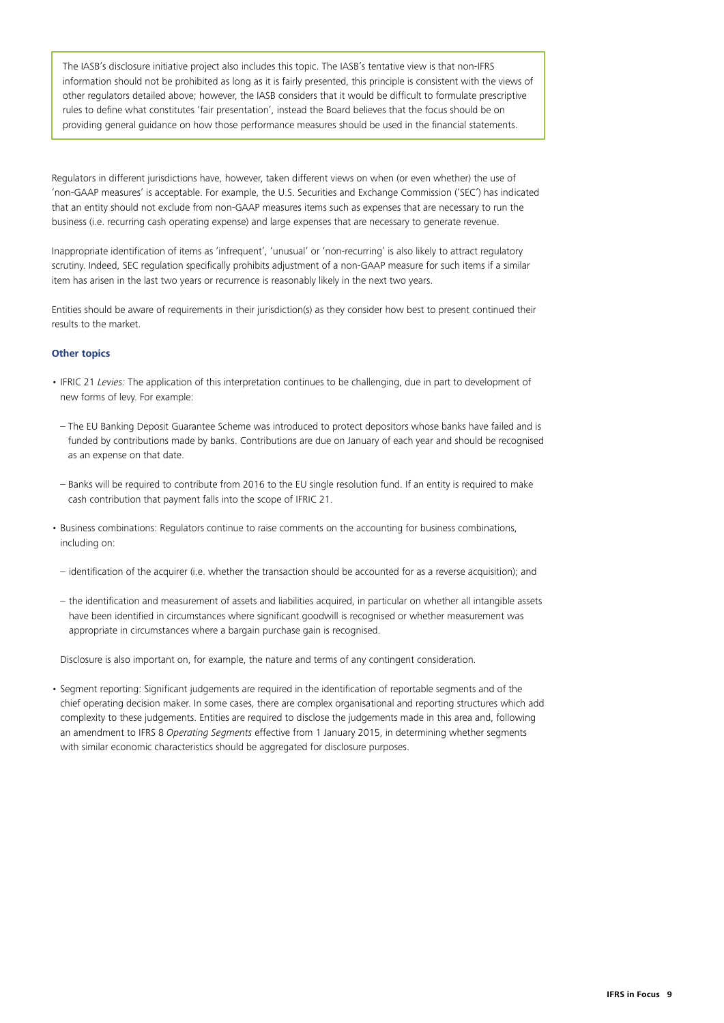The IASB's disclosure initiative project also includes this topic. The IASB's tentative view is that non-IFRS information should not be prohibited as long as it is fairly presented, this principle is consistent with the views of other regulators detailed above; however, the IASB considers that it would be difficult to formulate prescriptive rules to define what constitutes 'fair presentation', instead the Board believes that the focus should be on providing general guidance on how those performance measures should be used in the financial statements.

Regulators in different jurisdictions have, however, taken different views on when (or even whether) the use of 'non‑GAAP measures' is acceptable. For example, the U.S. Securities and Exchange Commission ('SEC') has indicated that an entity should not exclude from non‑GAAP measures items such as expenses that are necessary to run the business (i.e. recurring cash operating expense) and large expenses that are necessary to generate revenue.

Inappropriate identification of items as 'infrequent', 'unusual' or 'non‑recurring' is also likely to attract regulatory scrutiny. Indeed, SEC regulation specifically prohibits adjustment of a non-GAAP measure for such items if a similar item has arisen in the last two years or recurrence is reasonably likely in the next two years.

Entities should be aware of requirements in their jurisdiction(s) as they consider how best to present continued their results to the market.

#### <span id="page-8-0"></span>**Other topics**

- IFRIC 21 *Levies:* The application of this interpretation continues to be challenging, due in part to development of new forms of levy. For example:
	- The EU Banking Deposit Guarantee Scheme was introduced to protect depositors whose banks have failed and is funded by contributions made by banks. Contributions are due on January of each year and should be recognised as an expense on that date.
	- Banks will be required to contribute from 2016 to the EU single resolution fund. If an entity is required to make cash contribution that payment falls into the scope of IFRIC 21.
- Business combinations: Regulators continue to raise comments on the accounting for business combinations, including on:
- identification of the acquirer (i.e. whether the transaction should be accounted for as a reverse acquisition); and
- the identification and measurement of assets and liabilities acquired, in particular on whether all intangible assets have been identified in circumstances where significant goodwill is recognised or whether measurement was appropriate in circumstances where a bargain purchase gain is recognised.

Disclosure is also important on, for example, the nature and terms of any contingent consideration.

• Segment reporting: Significant judgements are required in the identification of reportable segments and of the chief operating decision maker. In some cases, there are complex organisational and reporting structures which add complexity to these judgements. Entities are required to disclose the judgements made in this area and, following an amendment to IFRS 8 *Operating Segments* effective from 1 January 2015, in determining whether segments with similar economic characteristics should be aggregated for disclosure purposes.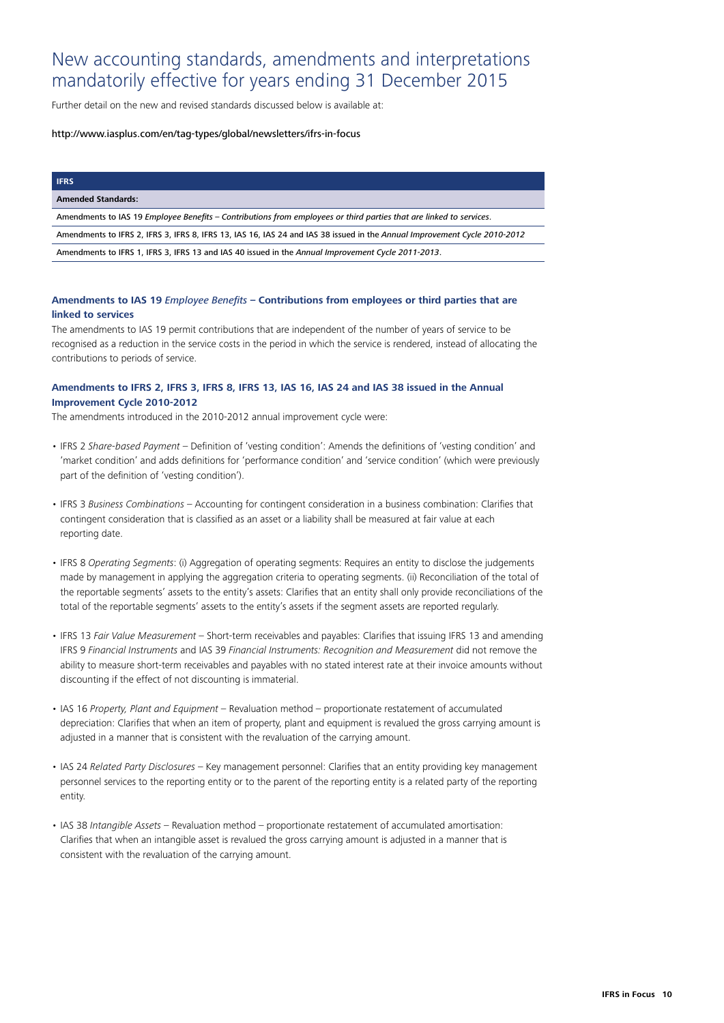### New accounting standards, amendments and interpretations mandatorily effective for years ending 31 December 2015

Further detail on the new and revised standards discussed below is available at:

#### http://www.iasplus.com/en/tag-types/global/newsletters/ifrs-in-focus

#### **IFRS**

#### **Amended Standards:**

Amendments to IAS 19 *Employee Benefits* – *[Contributions from employees or third parties that are linked to services](http://www.iasplus.com/en/publications/global/ifrs-in-focus/2013/amendments-ias-19)*.

Amendments to IFRS 2, IFRS 3, IFRS 8, IFRS 13, IAS 16, IAS 24 and IAS 38 issued in the *[Annual Improvement Cycle 2010‑2012](http://www.iasplus.com/en/projects/completed/aip/annual-improvements-2010-2012)*

Amendments to IFRS 1, IFRS 3, IFRS 13 and IAS 40 issued in the *[Annual Improvement Cycle 2011‑2013](http://www.iasplus.com/en/projects/completed/aip/annual-improvements-2011-2013)*.

#### **Amendments to IAS 19** *Employee Benefits* **– Contributions from employees or third parties that are linked to services**

The amendments to IAS 19 permit contributions that are independent of the number of years of service to be recognised as a reduction in the service costs in the period in which the service is rendered, instead of allocating the contributions to periods of service.

#### **Amendments to IFRS 2, IFRS 3, IFRS 8, IFRS 13, IAS 16, IAS 24 and IAS 38 issued in the Annual Improvement Cycle 2010‑2012**

The amendments introduced in the 2010‑2012 annual improvement cycle were:

- IFRS 2 *Share‑based Payment* Definition of 'vesting condition': Amends the definitions of 'vesting condition' and 'market condition' and adds definitions for 'performance condition' and 'service condition' (which were previously part of the definition of 'vesting condition').
- IFRS 3 *Business Combinations* Accounting for contingent consideration in a business combination: Clarifies that contingent consideration that is classified as an asset or a liability shall be measured at fair value at each reporting date.
- IFRS 8 *Operating Segments*: (i) Aggregation of operating segments: Requires an entity to disclose the judgements made by management in applying the aggregation criteria to operating segments. (ii) Reconciliation of the total of the reportable segments' assets to the entity's assets: Clarifies that an entity shall only provide reconciliations of the total of the reportable segments' assets to the entity's assets if the segment assets are reported regularly.
- IFRS 13 *Fair Value Measurement* Short‑term receivables and payables: Clarifies that issuing IFRS 13 and amending IFRS 9 *Financial Instruments* and IAS 39 *Financial Instruments: Recognition and Measurement* did not remove the ability to measure short-term receivables and payables with no stated interest rate at their invoice amounts without discounting if the effect of not discounting is immaterial.
- IAS 16 *Property, Plant and Equipment* Revaluation method proportionate restatement of accumulated depreciation: Clarifies that when an item of property, plant and equipment is revalued the gross carrying amount is adjusted in a manner that is consistent with the revaluation of the carrying amount.
- IAS 24 *Related Party Disclosures* Key management personnel: Clarifies that an entity providing key management personnel services to the reporting entity or to the parent of the reporting entity is a related party of the reporting entity.
- IAS 38 *Intangible Assets* Revaluation method proportionate restatement of accumulated amortisation: Clarifies that when an intangible asset is revalued the gross carrying amount is adjusted in a manner that is consistent with the revaluation of the carrying amount.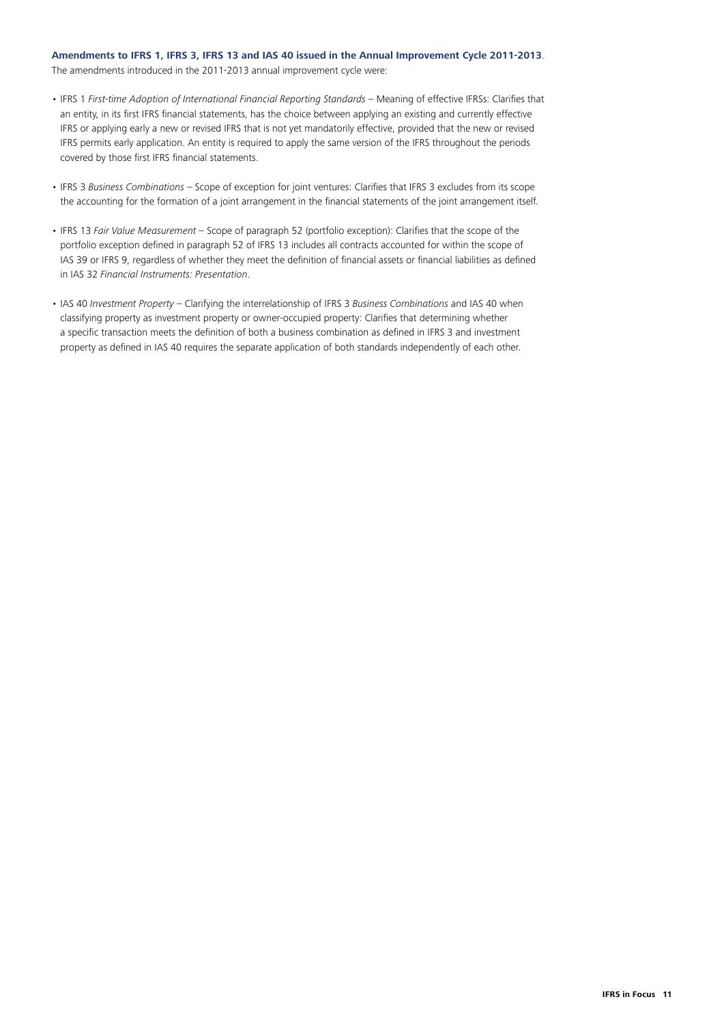#### **Amendments to IFRS 1, IFRS 3, IFRS 13 and IAS 40 issued in the Annual Improvement Cycle 2011‑2013**.

The amendments introduced in the 2011‑2013 annual improvement cycle were:

- IFRS 1 *First‑time Adoption of International Financial Reporting Standards* Meaning of effective IFRSs: Clarifies that an entity, in its first IFRS financial statements, has the choice between applying an existing and currently effective IFRS or applying early a new or revised IFRS that is not yet mandatorily effective, provided that the new or revised IFRS permits early application. An entity is required to apply the same version of the IFRS throughout the periods covered by those first IFRS financial statements.
- IFRS 3 *Business Combinations*  Scope of exception for joint ventures: Clarifies that IFRS 3 excludes from its scope the accounting for the formation of a joint arrangement in the financial statements of the joint arrangement itself.
- IFRS 13 *Fair Value Measurement* Scope of paragraph 52 (portfolio exception): Clarifies that the scope of the portfolio exception defined in paragraph 52 of IFRS 13 includes all contracts accounted for within the scope of IAS 39 or IFRS 9, regardless of whether they meet the definition of financial assets or financial liabilities as defined in IAS 32 *Financial Instruments: Presentation*.
- IAS 40 *Investment Property*  Clarifying the interrelationship of IFRS 3 *Business Combinations* and IAS 40 when classifying property as investment property or owner‑occupied property: Clarifies that determining whether a specific transaction meets the definition of both a business combination as defined in IFRS 3 and investment property as defined in IAS 40 requires the separate application of both standards independently of each other.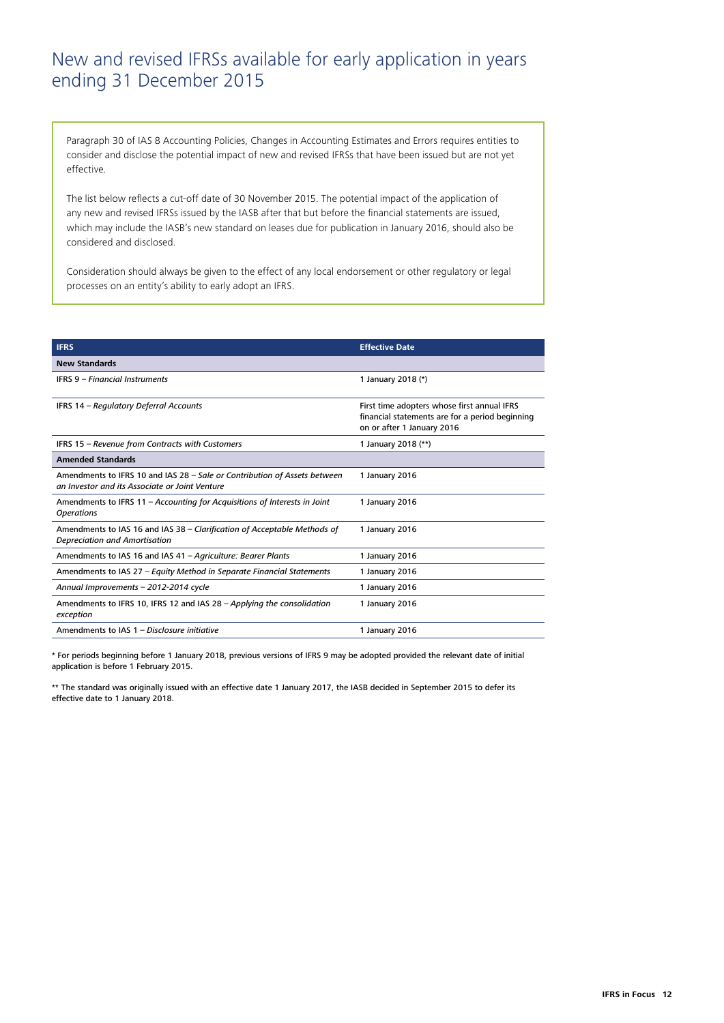## New and revised IFRSs available for early application in years ending 31 December 2015

Paragraph 30 of IAS 8 Accounting Policies, Changes in Accounting Estimates and Errors requires entities to consider and disclose the potential impact of new and revised IFRSs that have been issued but are not yet effective.

The list below reflects a cut-off date of 30 November 2015. The potential impact of the application of any new and revised IFRSs issued by the IASB after that but before the financial statements are issued, which may include the IASB's new standard on leases due for publication in January 2016, should also be considered and disclosed.

Consideration should always be given to the effect of any local endorsement or other regulatory or legal processes on an entity's ability to early adopt an IFRS.

| <b>IFRS</b>                                                                                                                 | <b>Effective Date</b>                                                                                                        |
|-----------------------------------------------------------------------------------------------------------------------------|------------------------------------------------------------------------------------------------------------------------------|
| <b>New Standards</b>                                                                                                        |                                                                                                                              |
| <b>IFRS 9 - Financial Instruments</b>                                                                                       | 1 January 2018 (*)                                                                                                           |
| IFRS 14 - Regulatory Deferral Accounts                                                                                      | First time adopters whose first annual IFRS<br>financial statements are for a period beginning<br>on or after 1 January 2016 |
| IFRS 15 - Revenue from Contracts with Customers                                                                             | 1 January 2018 (**)                                                                                                          |
| <b>Amended Standards</b>                                                                                                    |                                                                                                                              |
| Amendments to IFRS 10 and IAS 28 - Sale or Contribution of Assets between<br>an Investor and its Associate or Joint Venture | 1 January 2016                                                                                                               |
| Amendments to IFRS 11 - Accounting for Acquisitions of Interests in Joint<br><b>Operations</b>                              | 1 January 2016                                                                                                               |
| Amendments to IAS 16 and IAS 38 - Clarification of Acceptable Methods of<br>Depreciation and Amortisation                   | 1 January 2016                                                                                                               |
| Amendments to IAS 16 and IAS 41 - Agriculture: Bearer Plants                                                                | 1 January 2016                                                                                                               |
| Amendments to IAS 27 - Equity Method in Separate Financial Statements                                                       | 1 January 2016                                                                                                               |
| Annual Improvements - 2012-2014 cycle                                                                                       | 1 January 2016                                                                                                               |
| Amendments to IFRS 10, IFRS 12 and IAS 28 - Applying the consolidation<br>exception                                         | 1 January 2016                                                                                                               |
| Amendments to IAS 1 - Disclosure initiative                                                                                 | 1 January 2016                                                                                                               |

\* For periods beginning before 1 January 2018, previous versions of IFRS 9 may be adopted provided the relevant date of initial application is before 1 February 2015.

\*\* The standard was originally issued with an effective date 1 January 2017, the IASB decided in September 2015 to defer its effective date to 1 January 2018.